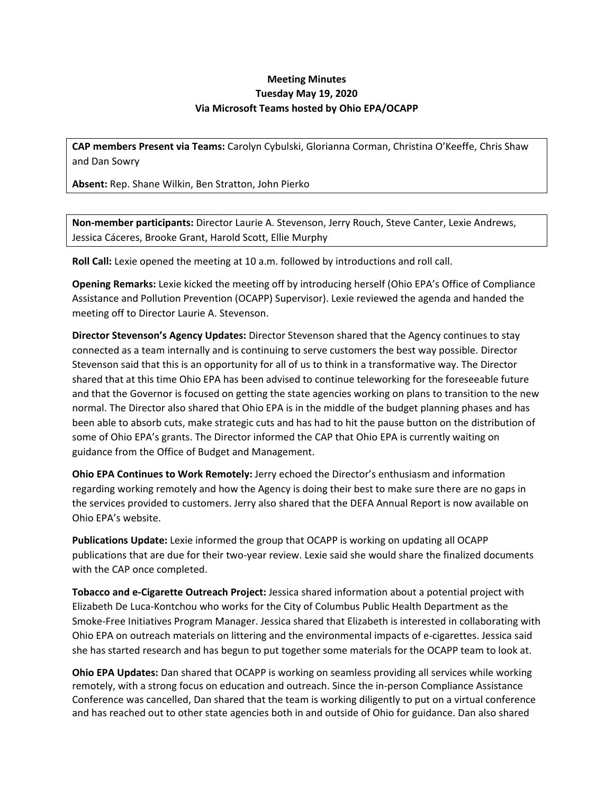## **Meeting Minutes Tuesday May 19, 2020 Via Microsoft Teams hosted by Ohio EPA/OCAPP**

**CAP members Present via Teams:** Carolyn Cybulski, Glorianna Corman, Christina O'Keeffe, Chris Shaw and Dan Sowry

**Absent:** Rep. Shane Wilkin, Ben Stratton, John Pierko

**Non-member participants:** Director Laurie A. Stevenson, Jerry Rouch, Steve Canter, Lexie Andrews, Jessica Cáceres, Brooke Grant, Harold Scott, Ellie Murphy

**Roll Call:** Lexie opened the meeting at 10 a.m. followed by introductions and roll call.

**Opening Remarks:** Lexie kicked the meeting off by introducing herself (Ohio EPA's Office of Compliance Assistance and Pollution Prevention (OCAPP) Supervisor). Lexie reviewed the agenda and handed the meeting off to Director Laurie A. Stevenson.

**Director Stevenson's Agency Updates:** Director Stevenson shared that the Agency continues to stay connected as a team internally and is continuing to serve customers the best way possible. Director Stevenson said that this is an opportunity for all of us to think in a transformative way. The Director shared that at this time Ohio EPA has been advised to continue teleworking for the foreseeable future and that the Governor is focused on getting the state agencies working on plans to transition to the new normal. The Director also shared that Ohio EPA is in the middle of the budget planning phases and has been able to absorb cuts, make strategic cuts and has had to hit the pause button on the distribution of some of Ohio EPA's grants. The Director informed the CAP that Ohio EPA is currently waiting on guidance from the Office of Budget and Management.

**Ohio EPA Continues to Work Remotely:** Jerry echoed the Director's enthusiasm and information regarding working remotely and how the Agency is doing their best to make sure there are no gaps in the services provided to customers. Jerry also shared that the DEFA Annual Report is now available on Ohio EPA's website.

**Publications Update:** Lexie informed the group that OCAPP is working on updating all OCAPP publications that are due for their two-year review. Lexie said she would share the finalized documents with the CAP once completed.

**Tobacco and e-Cigarette Outreach Project:** Jessica shared information about a potential project with Elizabeth De Luca-Kontchou who works for the City of Columbus Public Health Department as the Smoke-Free Initiatives Program Manager. Jessica shared that Elizabeth is interested in collaborating with Ohio EPA on outreach materials on littering and the environmental impacts of e-cigarettes. Jessica said she has started research and has begun to put together some materials for the OCAPP team to look at.

**Ohio EPA Updates:** Dan shared that OCAPP is working on seamless providing all services while working remotely, with a strong focus on education and outreach. Since the in-person Compliance Assistance Conference was cancelled, Dan shared that the team is working diligently to put on a virtual conference and has reached out to other state agencies both in and outside of Ohio for guidance. Dan also shared